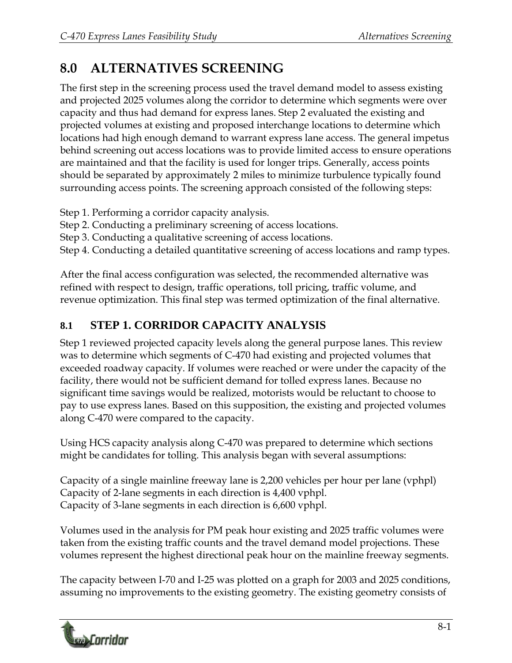# **8.0 ALTERNATIVES SCREENING**

The first step in the screening process used the travel demand model to assess existing and projected 2025 volumes along the corridor to determine which segments were over capacity and thus had demand for express lanes. Step 2 evaluated the existing and projected volumes at existing and proposed interchange locations to determine which locations had high enough demand to warrant express lane access. The general impetus behind screening out access locations was to provide limited access to ensure operations are maintained and that the facility is used for longer trips. Generally, access points should be separated by approximately 2 miles to minimize turbulence typically found surrounding access points. The screening approach consisted of the following steps:

Step 1. Performing a corridor capacity analysis.

Step 2. Conducting a preliminary screening of access locations.

Step 3. Conducting a qualitative screening of access locations.

Step 4. Conducting a detailed quantitative screening of access locations and ramp types.

After the final access configuration was selected, the recommended alternative was refined with respect to design, traffic operations, toll pricing, traffic volume, and revenue optimization. This final step was termed optimization of the final alternative.

# **8.1 STEP 1. CORRIDOR CAPACITY ANALYSIS**

Step 1 reviewed projected capacity levels along the general purpose lanes. This review was to determine which segments of C-470 had existing and projected volumes that exceeded roadway capacity. If volumes were reached or were under the capacity of the facility, there would not be sufficient demand for tolled express lanes. Because no significant time savings would be realized, motorists would be reluctant to choose to pay to use express lanes. Based on this supposition, the existing and projected volumes along C-470 were compared to the capacity.

Using HCS capacity analysis along C-470 was prepared to determine which sections might be candidates for tolling. This analysis began with several assumptions:

Capacity of a single mainline freeway lane is 2,200 vehicles per hour per lane (vphpl) Capacity of 2-lane segments in each direction is 4,400 vphpl. Capacity of 3-lane segments in each direction is 6,600 vphpl.

Volumes used in the analysis for PM peak hour existing and 2025 traffic volumes were taken from the existing traffic counts and the travel demand model projections. These volumes represent the highest directional peak hour on the mainline freeway segments.

The capacity between I-70 and I-25 was plotted on a graph for 2003 and 2025 conditions, assuming no improvements to the existing geometry. The existing geometry consists of

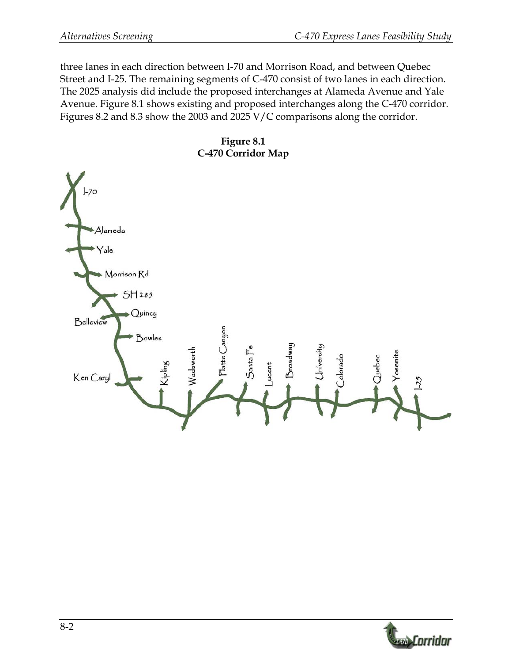three lanes in each direction between I-70 and Morrison Road, and between Quebec Street and I-25. The remaining segments of C-470 consist of two lanes in each direction. The 2025 analysis did include the proposed interchanges at Alameda Avenue and Yale Avenue. Figure 8.1 shows existing and proposed interchanges along the C-470 corridor. Figures 8.2 and 8.3 show the 2003 and 2025 V/C comparisons along the corridor.

**Figure 8.1 C-470 Corridor Map** 



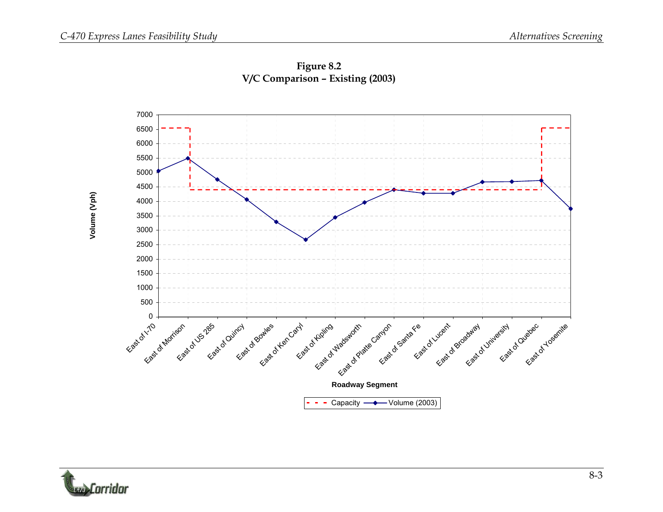



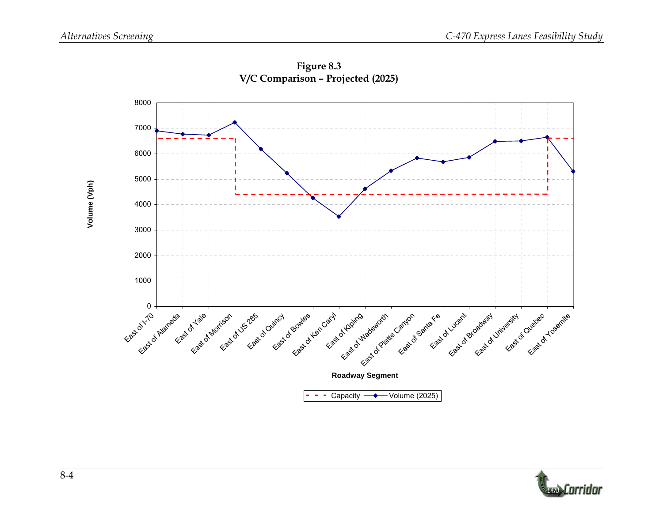**Volume (Vph)**

Volume (Vph)



**Figure 8.3 V/C Comparison – Projected (2025)** 

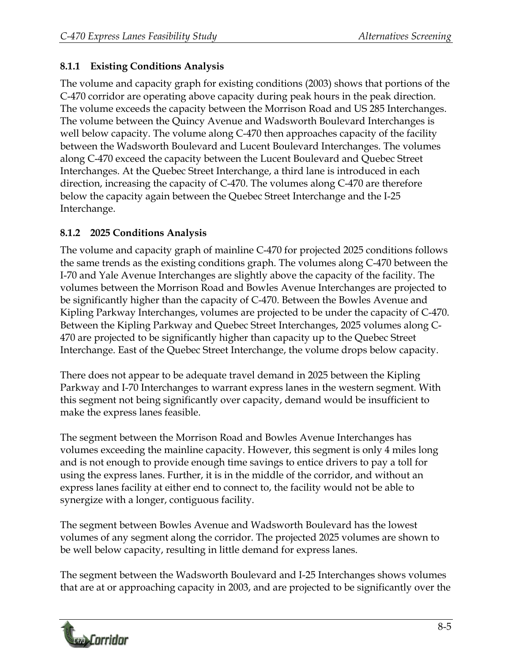#### **8.1.1 Existing Conditions Analysis**

The volume and capacity graph for existing conditions (2003) shows that portions of the C-470 corridor are operating above capacity during peak hours in the peak direction. The volume exceeds the capacity between the Morrison Road and US 285 Interchanges. The volume between the Quincy Avenue and Wadsworth Boulevard Interchanges is well below capacity. The volume along C-470 then approaches capacity of the facility between the Wadsworth Boulevard and Lucent Boulevard Interchanges. The volumes along C-470 exceed the capacity between the Lucent Boulevard and Quebec Street Interchanges. At the Quebec Street Interchange, a third lane is introduced in each direction, increasing the capacity of C-470. The volumes along C-470 are therefore below the capacity again between the Quebec Street Interchange and the I-25 Interchange.

#### **8.1.2 2025 Conditions Analysis**

The volume and capacity graph of mainline C-470 for projected 2025 conditions follows the same trends as the existing conditions graph. The volumes along C-470 between the I-70 and Yale Avenue Interchanges are slightly above the capacity of the facility. The volumes between the Morrison Road and Bowles Avenue Interchanges are projected to be significantly higher than the capacity of C-470. Between the Bowles Avenue and Kipling Parkway Interchanges, volumes are projected to be under the capacity of C-470. Between the Kipling Parkway and Quebec Street Interchanges, 2025 volumes along C-470 are projected to be significantly higher than capacity up to the Quebec Street Interchange. East of the Quebec Street Interchange, the volume drops below capacity.

There does not appear to be adequate travel demand in 2025 between the Kipling Parkway and I-70 Interchanges to warrant express lanes in the western segment. With this segment not being significantly over capacity, demand would be insufficient to make the express lanes feasible.

The segment between the Morrison Road and Bowles Avenue Interchanges has volumes exceeding the mainline capacity. However, this segment is only 4 miles long and is not enough to provide enough time savings to entice drivers to pay a toll for using the express lanes. Further, it is in the middle of the corridor, and without an express lanes facility at either end to connect to, the facility would not be able to synergize with a longer, contiguous facility.

The segment between Bowles Avenue and Wadsworth Boulevard has the lowest volumes of any segment along the corridor. The projected 2025 volumes are shown to be well below capacity, resulting in little demand for express lanes.

The segment between the Wadsworth Boulevard and I-25 Interchanges shows volumes that are at or approaching capacity in 2003, and are projected to be significantly over the

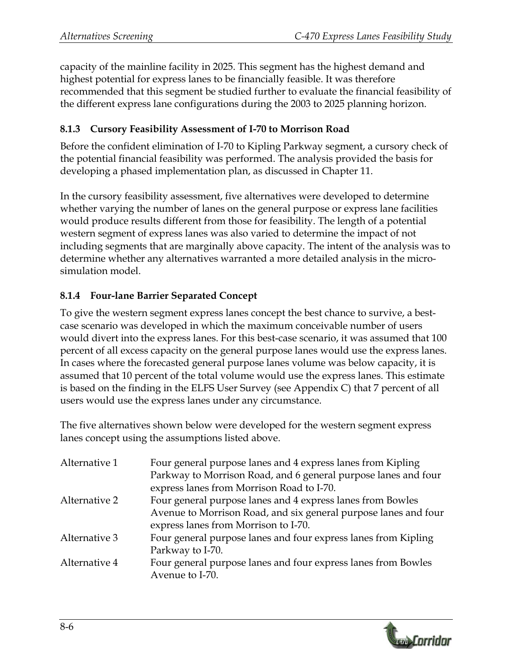capacity of the mainline facility in 2025. This segment has the highest demand and highest potential for express lanes to be financially feasible. It was therefore recommended that this segment be studied further to evaluate the financial feasibility of the different express lane configurations during the 2003 to 2025 planning horizon.

#### **8.1.3 Cursory Feasibility Assessment of I-70 to Morrison Road**

Before the confident elimination of I-70 to Kipling Parkway segment, a cursory check of the potential financial feasibility was performed. The analysis provided the basis for developing a phased implementation plan, as discussed in Chapter 11.

In the cursory feasibility assessment, five alternatives were developed to determine whether varying the number of lanes on the general purpose or express lane facilities would produce results different from those for feasibility. The length of a potential western segment of express lanes was also varied to determine the impact of not including segments that are marginally above capacity. The intent of the analysis was to determine whether any alternatives warranted a more detailed analysis in the microsimulation model.

#### **8.1.4 Four-lane Barrier Separated Concept**

To give the western segment express lanes concept the best chance to survive, a bestcase scenario was developed in which the maximum conceivable number of users would divert into the express lanes. For this best-case scenario, it was assumed that 100 percent of all excess capacity on the general purpose lanes would use the express lanes. In cases where the forecasted general purpose lanes volume was below capacity, it is assumed that 10 percent of the total volume would use the express lanes. This estimate is based on the finding in the ELFS User Survey (see Appendix C) that 7 percent of all users would use the express lanes under any circumstance.

The five alternatives shown below were developed for the western segment express lanes concept using the assumptions listed above.

| Alternative 1 | Four general purpose lanes and 4 express lanes from Kipling     |  |
|---------------|-----------------------------------------------------------------|--|
|               | Parkway to Morrison Road, and 6 general purpose lanes and four  |  |
|               | express lanes from Morrison Road to I-70.                       |  |
| Alternative 2 | Four general purpose lanes and 4 express lanes from Bowles      |  |
|               | Avenue to Morrison Road, and six general purpose lanes and four |  |
|               | express lanes from Morrison to I-70.                            |  |
| Alternative 3 | Four general purpose lanes and four express lanes from Kipling  |  |
|               | Parkway to I-70.                                                |  |
| Alternative 4 | Four general purpose lanes and four express lanes from Bowles   |  |
|               | Avenue to I-70.                                                 |  |
|               |                                                                 |  |

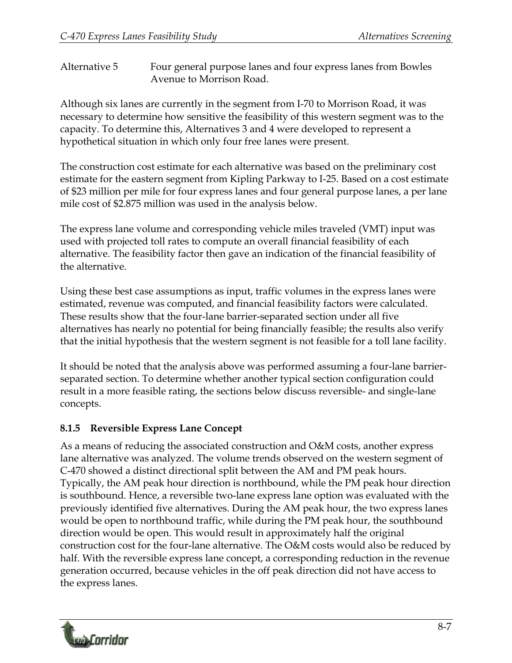Alternative 5 Four general purpose lanes and four express lanes from Bowles Avenue to Morrison Road.

Although six lanes are currently in the segment from I-70 to Morrison Road, it was necessary to determine how sensitive the feasibility of this western segment was to the capacity. To determine this, Alternatives 3 and 4 were developed to represent a hypothetical situation in which only four free lanes were present.

The construction cost estimate for each alternative was based on the preliminary cost estimate for the eastern segment from Kipling Parkway to I-25. Based on a cost estimate of \$23 million per mile for four express lanes and four general purpose lanes, a per lane mile cost of \$2.875 million was used in the analysis below.

The express lane volume and corresponding vehicle miles traveled (VMT) input was used with projected toll rates to compute an overall financial feasibility of each alternative. The feasibility factor then gave an indication of the financial feasibility of the alternative.

Using these best case assumptions as input, traffic volumes in the express lanes were estimated, revenue was computed, and financial feasibility factors were calculated. These results show that the four-lane barrier-separated section under all five alternatives has nearly no potential for being financially feasible; the results also verify that the initial hypothesis that the western segment is not feasible for a toll lane facility.

It should be noted that the analysis above was performed assuming a four-lane barrierseparated section. To determine whether another typical section configuration could result in a more feasible rating, the sections below discuss reversible- and single-lane concepts.

#### **8.1.5 Reversible Express Lane Concept**

As a means of reducing the associated construction and O&M costs, another express lane alternative was analyzed. The volume trends observed on the western segment of C-470 showed a distinct directional split between the AM and PM peak hours. Typically, the AM peak hour direction is northbound, while the PM peak hour direction is southbound. Hence, a reversible two-lane express lane option was evaluated with the previously identified five alternatives. During the AM peak hour, the two express lanes would be open to northbound traffic, while during the PM peak hour, the southbound direction would be open. This would result in approximately half the original construction cost for the four-lane alternative. The O&M costs would also be reduced by half. With the reversible express lane concept, a corresponding reduction in the revenue generation occurred, because vehicles in the off peak direction did not have access to the express lanes.

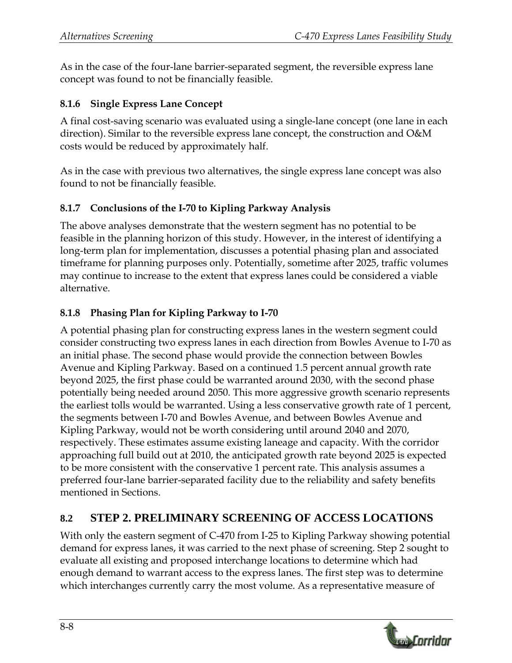As in the case of the four-lane barrier-separated segment, the reversible express lane concept was found to not be financially feasible.

#### **8.1.6 Single Express Lane Concept**

A final cost-saving scenario was evaluated using a single-lane concept (one lane in each direction). Similar to the reversible express lane concept, the construction and O&M costs would be reduced by approximately half.

As in the case with previous two alternatives, the single express lane concept was also found to not be financially feasible.

#### **8.1.7 Conclusions of the I-70 to Kipling Parkway Analysis**

The above analyses demonstrate that the western segment has no potential to be feasible in the planning horizon of this study. However, in the interest of identifying a long-term plan for implementation, discusses a potential phasing plan and associated timeframe for planning purposes only. Potentially, sometime after 2025, traffic volumes may continue to increase to the extent that express lanes could be considered a viable alternative.

#### **8.1.8 Phasing Plan for Kipling Parkway to I-70**

A potential phasing plan for constructing express lanes in the western segment could consider constructing two express lanes in each direction from Bowles Avenue to I-70 as an initial phase. The second phase would provide the connection between Bowles Avenue and Kipling Parkway. Based on a continued 1.5 percent annual growth rate beyond 2025, the first phase could be warranted around 2030, with the second phase potentially being needed around 2050. This more aggressive growth scenario represents the earliest tolls would be warranted. Using a less conservative growth rate of 1 percent, the segments between I-70 and Bowles Avenue, and between Bowles Avenue and Kipling Parkway, would not be worth considering until around 2040 and 2070, respectively. These estimates assume existing laneage and capacity. With the corridor approaching full build out at 2010, the anticipated growth rate beyond 2025 is expected to be more consistent with the conservative 1 percent rate. This analysis assumes a preferred four-lane barrier-separated facility due to the reliability and safety benefits mentioned in Sections.

### **8.2 STEP 2. PRELIMINARY SCREENING OF ACCESS LOCATIONS**

With only the eastern segment of C-470 from I-25 to Kipling Parkway showing potential demand for express lanes, it was carried to the next phase of screening. Step 2 sought to evaluate all existing and proposed interchange locations to determine which had enough demand to warrant access to the express lanes. The first step was to determine which interchanges currently carry the most volume. As a representative measure of

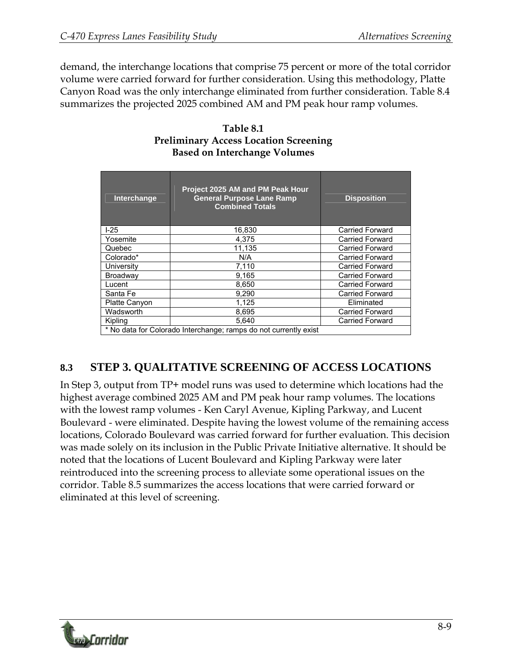demand, the interchange locations that comprise 75 percent or more of the total corridor volume were carried forward for further consideration. Using this methodology, Platte Canyon Road was the only interchange eliminated from further consideration. Table 8.4 summarizes the projected 2025 combined AM and PM peak hour ramp volumes.

| <b>Interchange</b>                                               | Project 2025 AM and PM Peak Hour<br><b>General Purpose Lane Ramp</b><br><b>Combined Totals</b> | <b>Disposition</b>     |  |  |  |
|------------------------------------------------------------------|------------------------------------------------------------------------------------------------|------------------------|--|--|--|
| $1-25$                                                           | 16,830                                                                                         | <b>Carried Forward</b> |  |  |  |
| Yosemite                                                         | 4.375                                                                                          | <b>Carried Forward</b> |  |  |  |
| Quebec                                                           | 11,135                                                                                         | <b>Carried Forward</b> |  |  |  |
| Colorado*                                                        | N/A                                                                                            | <b>Carried Forward</b> |  |  |  |
| University                                                       | 7,110                                                                                          | <b>Carried Forward</b> |  |  |  |
| Broadway                                                         | 9,165                                                                                          | <b>Carried Forward</b> |  |  |  |
| Lucent                                                           | 8,650                                                                                          | <b>Carried Forward</b> |  |  |  |
| Santa Fe                                                         | 9,290                                                                                          | <b>Carried Forward</b> |  |  |  |
| <b>Platte Canyon</b>                                             | 1.125                                                                                          | Eliminated             |  |  |  |
| Wadsworth                                                        | 8,695                                                                                          | <b>Carried Forward</b> |  |  |  |
| Kipling                                                          | 5,640                                                                                          | <b>Carried Forward</b> |  |  |  |
| * No data for Colorado Interchange; ramps do not currently exist |                                                                                                |                        |  |  |  |

#### **Table 8.1 Preliminary Access Location Screening Based on Interchange Volumes**

## **8.3 STEP 3. QUALITATIVE SCREENING OF ACCESS LOCATIONS**

In Step 3, output from TP+ model runs was used to determine which locations had the highest average combined 2025 AM and PM peak hour ramp volumes. The locations with the lowest ramp volumes - Ken Caryl Avenue, Kipling Parkway, and Lucent Boulevard - were eliminated. Despite having the lowest volume of the remaining access locations, Colorado Boulevard was carried forward for further evaluation. This decision was made solely on its inclusion in the Public Private Initiative alternative. It should be noted that the locations of Lucent Boulevard and Kipling Parkway were later reintroduced into the screening process to alleviate some operational issues on the corridor. Table 8.5 summarizes the access locations that were carried forward or eliminated at this level of screening.

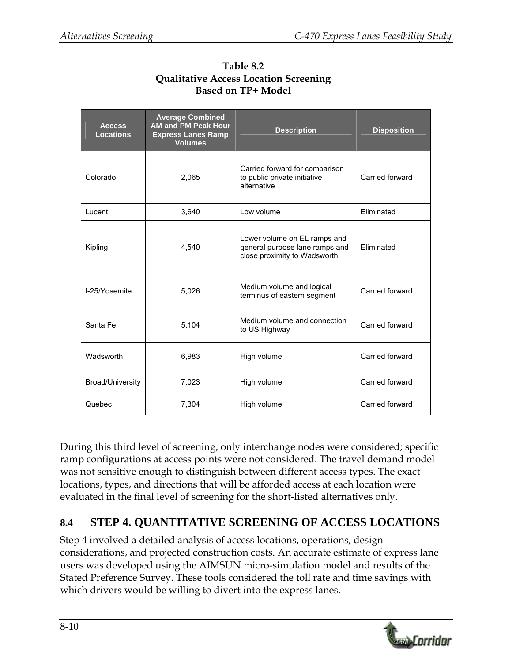| <b>Access</b><br><b>Locations</b> | <b>Average Combined</b><br><b>AM and PM Peak Hour</b><br><b>Express Lanes Ramp</b><br><b>Volumes</b> | <b>Description</b>                                                                             | <b>Disposition</b> |
|-----------------------------------|------------------------------------------------------------------------------------------------------|------------------------------------------------------------------------------------------------|--------------------|
| Colorado                          | 2,065                                                                                                | Carried forward for comparison<br>to public private initiative<br>alternative                  | Carried forward    |
| Lucent                            | 3,640                                                                                                | Low volume                                                                                     | Eliminated         |
| Kipling                           | 4.540                                                                                                | Lower volume on EL ramps and<br>general purpose lane ramps and<br>close proximity to Wadsworth | Eliminated         |
| I-25/Yosemite                     | 5,026                                                                                                | Medium volume and logical<br>terminus of eastern segment                                       | Carried forward    |
| Santa Fe                          | 5,104                                                                                                | Medium volume and connection<br>to US Highway                                                  | Carried forward    |
| Wadsworth                         | 6,983                                                                                                | High volume                                                                                    | Carried forward    |
| Broad/University                  | 7,023                                                                                                | High volume                                                                                    | Carried forward    |
| Quebec                            | 7,304                                                                                                | High volume                                                                                    | Carried forward    |

**Table 8.2 Qualitative Access Location Screening Based on TP+ Model** 

During this third level of screening, only interchange nodes were considered; specific ramp configurations at access points were not considered. The travel demand model was not sensitive enough to distinguish between different access types. The exact locations, types, and directions that will be afforded access at each location were evaluated in the final level of screening for the short-listed alternatives only.

### **8.4 STEP 4. QUANTITATIVE SCREENING OF ACCESS LOCATIONS**

Step 4 involved a detailed analysis of access locations, operations, design considerations, and projected construction costs. An accurate estimate of express lane users was developed using the AIMSUN micro-simulation model and results of the Stated Preference Survey. These tools considered the toll rate and time savings with which drivers would be willing to divert into the express lanes.

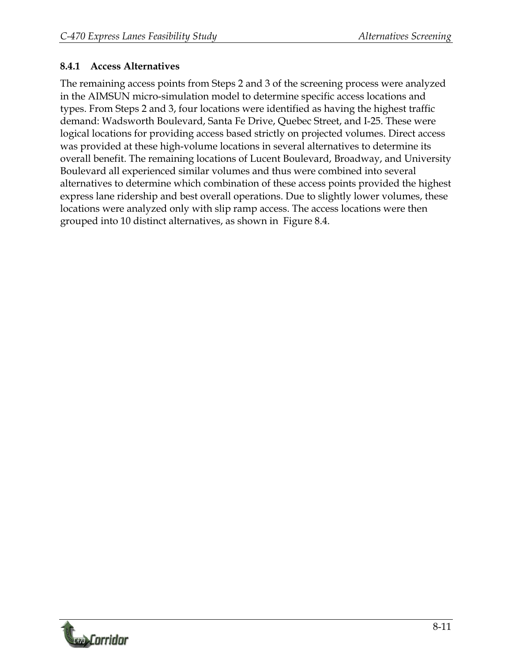#### **8.4.1 Access Alternatives**

The remaining access points from Steps 2 and 3 of the screening process were analyzed in the AIMSUN micro-simulation model to determine specific access locations and types. From Steps 2 and 3, four locations were identified as having the highest traffic demand: Wadsworth Boulevard, Santa Fe Drive, Quebec Street, and I-25. These were logical locations for providing access based strictly on projected volumes. Direct access was provided at these high-volume locations in several alternatives to determine its overall benefit. The remaining locations of Lucent Boulevard, Broadway, and University Boulevard all experienced similar volumes and thus were combined into several alternatives to determine which combination of these access points provided the highest express lane ridership and best overall operations. Due to slightly lower volumes, these locations were analyzed only with slip ramp access. The access locations were then grouped into 10 distinct alternatives, as shown in Figure 8.4.